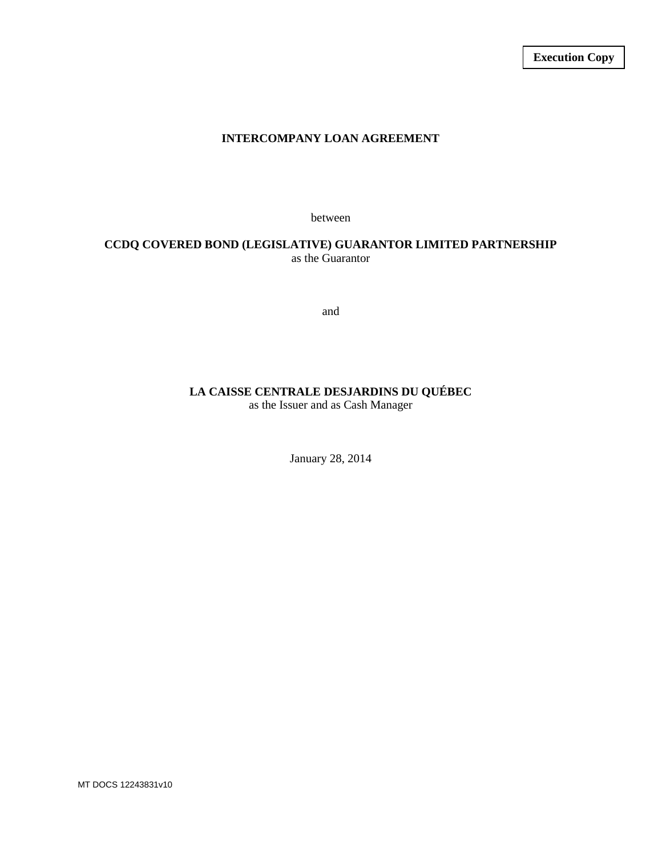## **INTERCOMPANY LOAN AGREEMENT**

between

## **CCDQ COVERED BOND (LEGISLATIVE) GUARANTOR LIMITED PARTNERSHIP** as the Guarantor

and

# **LA CAISSE CENTRALE DESJARDINS DU QUÉBEC**

as the Issuer and as Cash Manager

January 28, 2014

MT DOCS 12243831v10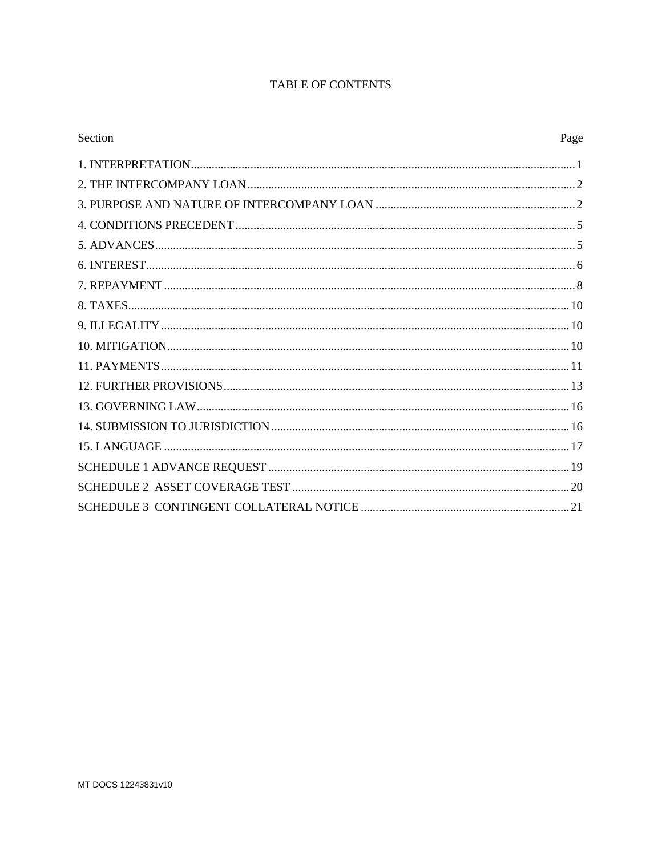# **TABLE OF CONTENTS**

| Section<br>Page |  |
|-----------------|--|
|                 |  |
|                 |  |
|                 |  |
|                 |  |
|                 |  |
|                 |  |
|                 |  |
|                 |  |
|                 |  |
|                 |  |
|                 |  |
|                 |  |
|                 |  |
|                 |  |
|                 |  |
|                 |  |
|                 |  |
|                 |  |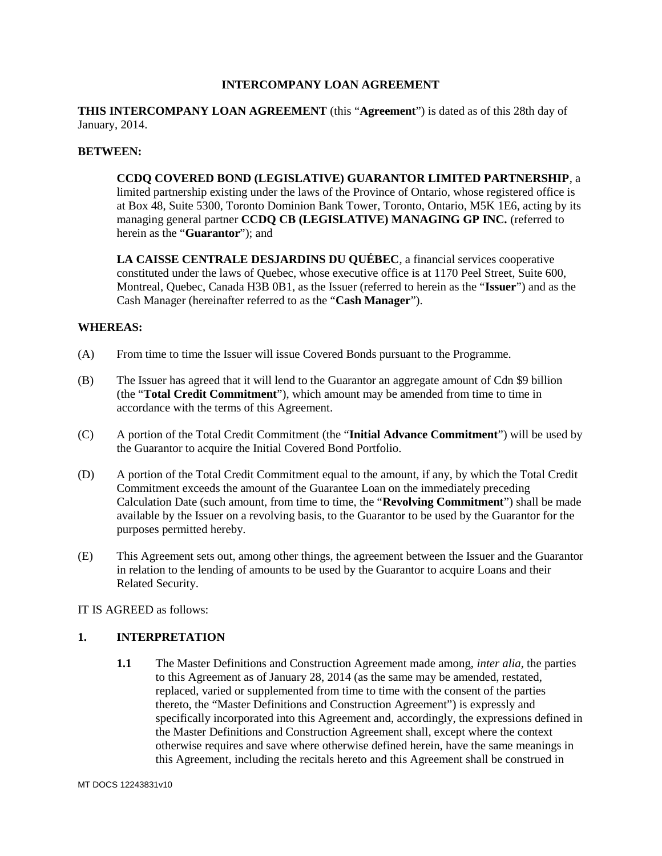#### **INTERCOMPANY LOAN AGREEMENT**

### **THIS INTERCOMPANY LOAN AGREEMENT** (this "**Agreement**") is dated as of this 28th day of January, 2014.

#### **BETWEEN:**

## **CCDQ COVERED BOND (LEGISLATIVE) GUARANTOR LIMITED PARTNERSHIP**, a limited partnership existing under the laws of the Province of Ontario, whose registered office is at Box 48, Suite 5300, Toronto Dominion Bank Tower, Toronto, Ontario, M5K 1E6, acting by its managing general partner **CCDQ CB (LEGISLATIVE) MANAGING GP INC.** (referred to herein as the "**Guarantor**"); and

**LA CAISSE CENTRALE DESJARDINS DU QUÉBEC**, a financial services cooperative constituted under the laws of Quebec, whose executive office is at 1170 Peel Street, Suite 600, Montreal, Quebec, Canada H3B 0B1, as the Issuer (referred to herein as the "**Issuer**") and as the Cash Manager (hereinafter referred to as the "**Cash Manager**").

## **WHEREAS:**

- (A) From time to time the Issuer will issue Covered Bonds pursuant to the Programme.
- (B) The Issuer has agreed that it will lend to the Guarantor an aggregate amount of Cdn \$9 billion (the "**Total Credit Commitment**"), which amount may be amended from time to time in accordance with the terms of this Agreement.
- (C) A portion of the Total Credit Commitment (the "**Initial Advance Commitment**") will be used by the Guarantor to acquire the Initial Covered Bond Portfolio.
- (D) A portion of the Total Credit Commitment equal to the amount, if any, by which the Total Credit Commitment exceeds the amount of the Guarantee Loan on the immediately preceding Calculation Date (such amount, from time to time, the "**Revolving Commitment**") shall be made available by the Issuer on a revolving basis, to the Guarantor to be used by the Guarantor for the purposes permitted hereby.
- (E) This Agreement sets out, among other things, the agreement between the Issuer and the Guarantor in relation to the lending of amounts to be used by the Guarantor to acquire Loans and their Related Security.

IT IS AGREED as follows:

### **1. INTERPRETATION**

**1.1** The Master Definitions and Construction Agreement made among, *inter alia*, the parties to this Agreement as of January 28, 2014 (as the same may be amended, restated, replaced, varied or supplemented from time to time with the consent of the parties thereto, the "Master Definitions and Construction Agreement") is expressly and specifically incorporated into this Agreement and, accordingly, the expressions defined in the Master Definitions and Construction Agreement shall, except where the context otherwise requires and save where otherwise defined herein, have the same meanings in this Agreement, including the recitals hereto and this Agreement shall be construed in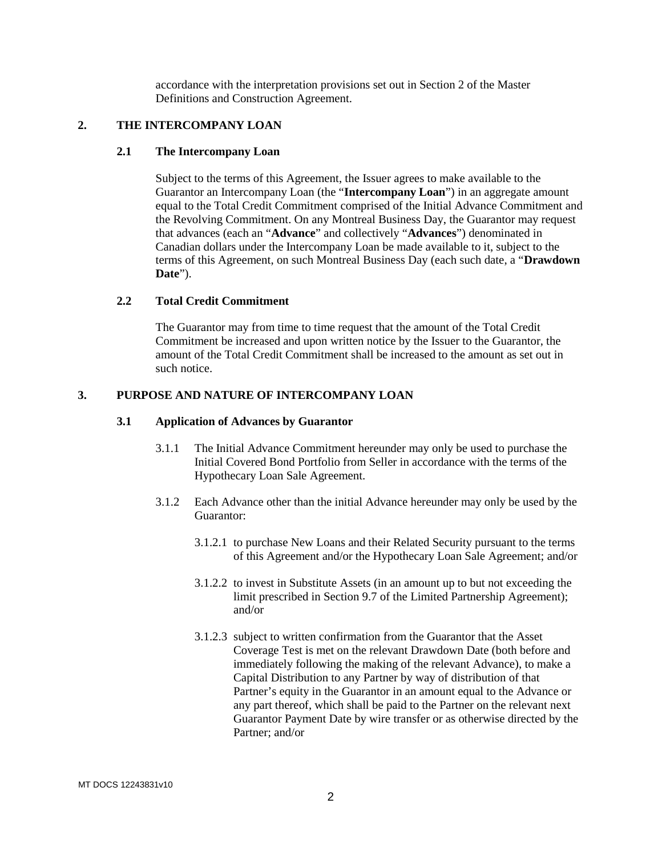accordance with the interpretation provisions set out in Section 2 of the Master Definitions and Construction Agreement.

## **2. THE INTERCOMPANY LOAN**

#### **2.1 The Intercompany Loan**

Subject to the terms of this Agreement, the Issuer agrees to make available to the Guarantor an Intercompany Loan (the "**Intercompany Loan**") in an aggregate amount equal to the Total Credit Commitment comprised of the Initial Advance Commitment and the Revolving Commitment. On any Montreal Business Day, the Guarantor may request that advances (each an "**Advance**" and collectively "**Advances**") denominated in Canadian dollars under the Intercompany Loan be made available to it, subject to the terms of this Agreement, on such Montreal Business Day (each such date, a "**Drawdown Date**").

#### **2.2 Total Credit Commitment**

The Guarantor may from time to time request that the amount of the Total Credit Commitment be increased and upon written notice by the Issuer to the Guarantor, the amount of the Total Credit Commitment shall be increased to the amount as set out in such notice.

#### **3. PURPOSE AND NATURE OF INTERCOMPANY LOAN**

#### **3.1 Application of Advances by Guarantor**

- 3.1.1 The Initial Advance Commitment hereunder may only be used to purchase the Initial Covered Bond Portfolio from Seller in accordance with the terms of the Hypothecary Loan Sale Agreement.
- 3.1.2 Each Advance other than the initial Advance hereunder may only be used by the Guarantor:
	- 3.1.2.1 to purchase New Loans and their Related Security pursuant to the terms of this Agreement and/or the Hypothecary Loan Sale Agreement; and/or
	- 3.1.2.2 to invest in Substitute Assets (in an amount up to but not exceeding the limit prescribed in Section 9.7 of the Limited Partnership Agreement); and/or
	- 3.1.2.3 subject to written confirmation from the Guarantor that the Asset Coverage Test is met on the relevant Drawdown Date (both before and immediately following the making of the relevant Advance), to make a Capital Distribution to any Partner by way of distribution of that Partner's equity in the Guarantor in an amount equal to the Advance or any part thereof, which shall be paid to the Partner on the relevant next Guarantor Payment Date by wire transfer or as otherwise directed by the Partner; and/or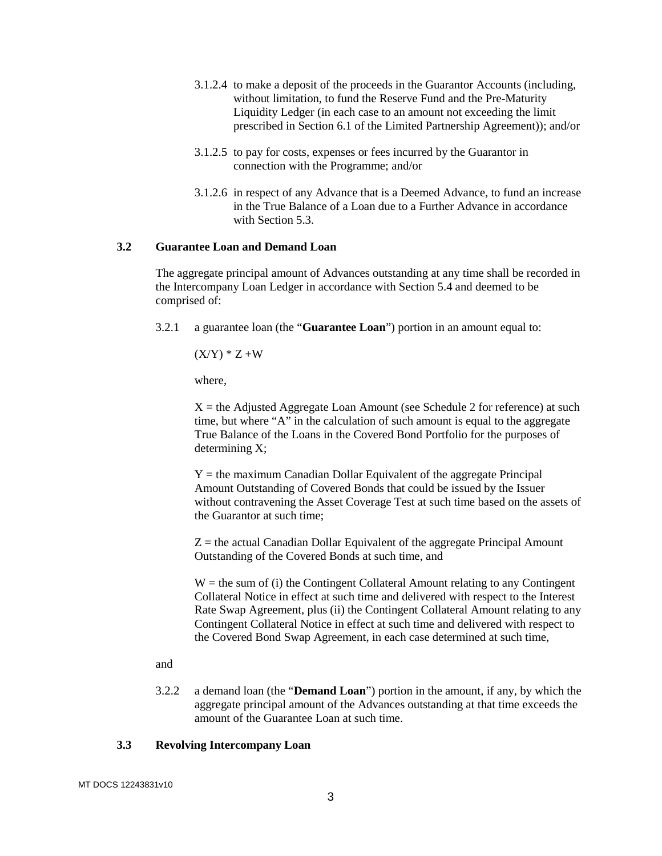- 3.1.2.4 to make a deposit of the proceeds in the Guarantor Accounts (including, without limitation, to fund the Reserve Fund and the Pre-Maturity Liquidity Ledger (in each case to an amount not exceeding the limit prescribed in Section 6.1 of the Limited Partnership Agreement)); and/or
- 3.1.2.5 to pay for costs, expenses or fees incurred by the Guarantor in connection with the Programme; and/or
- 3.1.2.6 in respect of any Advance that is a Deemed Advance, to fund an increase in the True Balance of a Loan due to a Further Advance in accordance with Section 5.3.

### **3.2 Guarantee Loan and Demand Loan**

The aggregate principal amount of Advances outstanding at any time shall be recorded in the Intercompany Loan Ledger in accordance with Section 5.4 and deemed to be comprised of:

3.2.1 a guarantee loan (the "**Guarantee Loan**") portion in an amount equal to:

 $(X/Y) * Z + W$ 

where,

 $X =$  the Adjusted Aggregate Loan Amount (see Schedule 2 for reference) at such time, but where "A" in the calculation of such amount is equal to the aggregate True Balance of the Loans in the Covered Bond Portfolio for the purposes of determining X;

 $Y =$  the maximum Canadian Dollar Equivalent of the aggregate Principal Amount Outstanding of Covered Bonds that could be issued by the Issuer without contravening the Asset Coverage Test at such time based on the assets of the Guarantor at such time;

 $Z =$  the actual Canadian Dollar Equivalent of the aggregate Principal Amount Outstanding of the Covered Bonds at such time, and

 $W =$  the sum of (i) the Contingent Collateral Amount relating to any Contingent Collateral Notice in effect at such time and delivered with respect to the Interest Rate Swap Agreement, plus (ii) the Contingent Collateral Amount relating to any Contingent Collateral Notice in effect at such time and delivered with respect to the Covered Bond Swap Agreement, in each case determined at such time,

#### and

3.2.2 a demand loan (the "**Demand Loan**") portion in the amount, if any, by which the aggregate principal amount of the Advances outstanding at that time exceeds the amount of the Guarantee Loan at such time.

#### **3.3 Revolving Intercompany Loan**

MT DOCS 12243831v10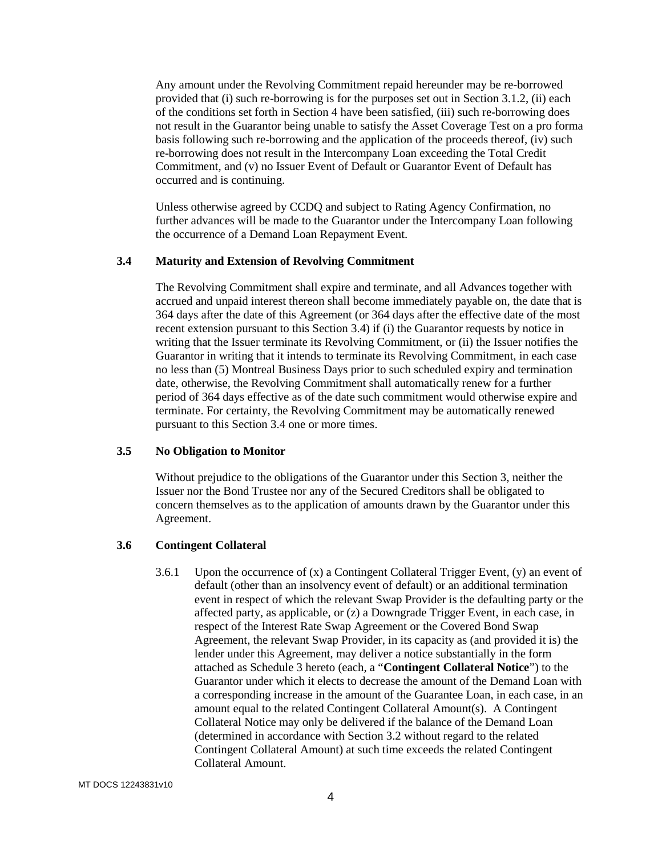Any amount under the Revolving Commitment repaid hereunder may be re-borrowed provided that (i) such re-borrowing is for the purposes set out in Section 3.1.2, (ii) each of the conditions set forth in Section 4 have been satisfied, (iii) such re-borrowing does not result in the Guarantor being unable to satisfy the Asset Coverage Test on a pro forma basis following such re-borrowing and the application of the proceeds thereof, (iv) such re-borrowing does not result in the Intercompany Loan exceeding the Total Credit Commitment, and (v) no Issuer Event of Default or Guarantor Event of Default has occurred and is continuing.

Unless otherwise agreed by CCDQ and subject to Rating Agency Confirmation, no further advances will be made to the Guarantor under the Intercompany Loan following the occurrence of a Demand Loan Repayment Event.

#### **3.4 Maturity and Extension of Revolving Commitment**

The Revolving Commitment shall expire and terminate, and all Advances together with accrued and unpaid interest thereon shall become immediately payable on, the date that is 364 days after the date of this Agreement (or 364 days after the effective date of the most recent extension pursuant to this Section 3.4) if (i) the Guarantor requests by notice in writing that the Issuer terminate its Revolving Commitment, or (ii) the Issuer notifies the Guarantor in writing that it intends to terminate its Revolving Commitment, in each case no less than (5) Montreal Business Days prior to such scheduled expiry and termination date, otherwise, the Revolving Commitment shall automatically renew for a further period of 364 days effective as of the date such commitment would otherwise expire and terminate. For certainty, the Revolving Commitment may be automatically renewed pursuant to this Section 3.4 one or more times.

#### **3.5 No Obligation to Monitor**

Without prejudice to the obligations of the Guarantor under this Section 3, neither the Issuer nor the Bond Trustee nor any of the Secured Creditors shall be obligated to concern themselves as to the application of amounts drawn by the Guarantor under this Agreement.

### **3.6 Contingent Collateral**

3.6.1 Upon the occurrence of  $(x)$  a Contingent Collateral Trigger Event,  $(y)$  an event of default (other than an insolvency event of default) or an additional termination event in respect of which the relevant Swap Provider is the defaulting party or the affected party, as applicable, or (z) a Downgrade Trigger Event, in each case, in respect of the Interest Rate Swap Agreement or the Covered Bond Swap Agreement, the relevant Swap Provider, in its capacity as (and provided it is) the lender under this Agreement, may deliver a notice substantially in the form attached as Schedule 3 hereto (each, a "**Contingent Collateral Notice**") to the Guarantor under which it elects to decrease the amount of the Demand Loan with a corresponding increase in the amount of the Guarantee Loan, in each case, in an amount equal to the related Contingent Collateral Amount(s). A Contingent Collateral Notice may only be delivered if the balance of the Demand Loan (determined in accordance with Section 3.2 without regard to the related Contingent Collateral Amount) at such time exceeds the related Contingent Collateral Amount.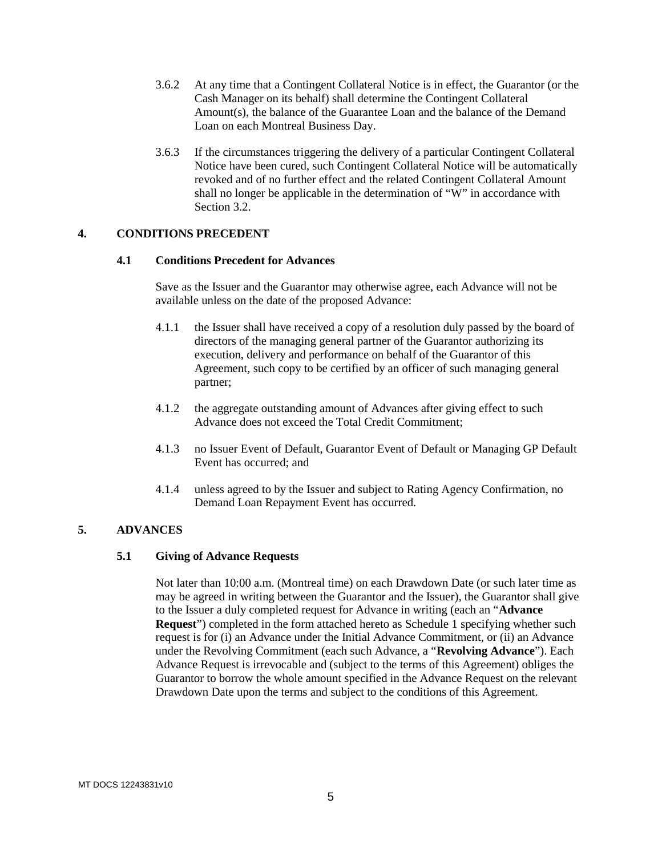- 3.6.2 At any time that a Contingent Collateral Notice is in effect, the Guarantor (or the Cash Manager on its behalf) shall determine the Contingent Collateral Amount(s), the balance of the Guarantee Loan and the balance of the Demand Loan on each Montreal Business Day.
- 3.6.3 If the circumstances triggering the delivery of a particular Contingent Collateral Notice have been cured, such Contingent Collateral Notice will be automatically revoked and of no further effect and the related Contingent Collateral Amount shall no longer be applicable in the determination of "W" in accordance with Section 3.2.

## **4. CONDITIONS PRECEDENT**

#### **4.1 Conditions Precedent for Advances**

Save as the Issuer and the Guarantor may otherwise agree, each Advance will not be available unless on the date of the proposed Advance:

- 4.1.1 the Issuer shall have received a copy of a resolution duly passed by the board of directors of the managing general partner of the Guarantor authorizing its execution, delivery and performance on behalf of the Guarantor of this Agreement, such copy to be certified by an officer of such managing general partner;
- 4.1.2 the aggregate outstanding amount of Advances after giving effect to such Advance does not exceed the Total Credit Commitment;
- 4.1.3 no Issuer Event of Default, Guarantor Event of Default or Managing GP Default Event has occurred; and
- 4.1.4 unless agreed to by the Issuer and subject to Rating Agency Confirmation, no Demand Loan Repayment Event has occurred.

### **5. ADVANCES**

#### **5.1 Giving of Advance Requests**

Not later than 10:00 a.m. (Montreal time) on each Drawdown Date (or such later time as may be agreed in writing between the Guarantor and the Issuer), the Guarantor shall give to the Issuer a duly completed request for Advance in writing (each an "**Advance Request**") completed in the form attached hereto as Schedule 1 specifying whether such request is for (i) an Advance under the Initial Advance Commitment, or (ii) an Advance under the Revolving Commitment (each such Advance, a "**Revolving Advance**"). Each Advance Request is irrevocable and (subject to the terms of this Agreement) obliges the Guarantor to borrow the whole amount specified in the Advance Request on the relevant Drawdown Date upon the terms and subject to the conditions of this Agreement.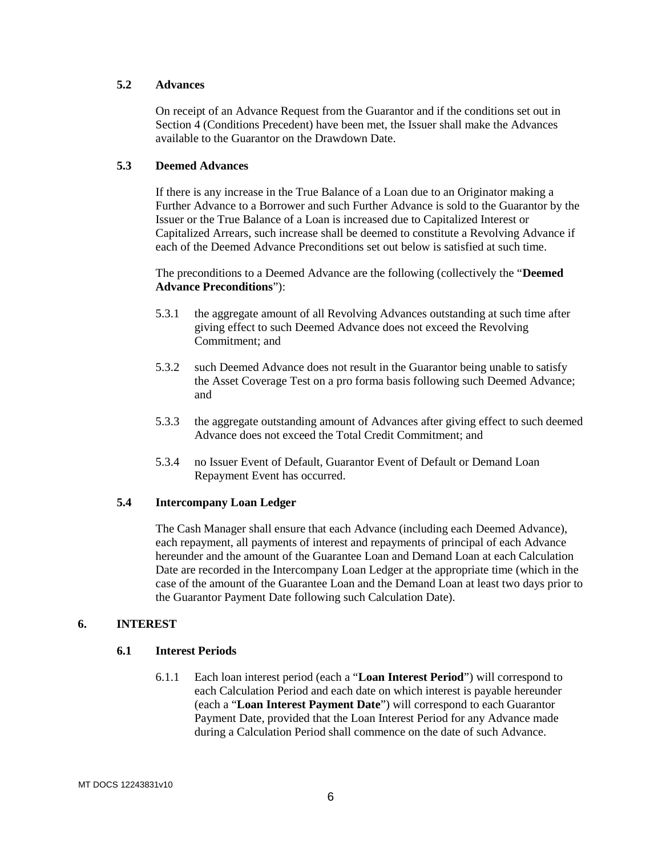#### **5.2 Advances**

On receipt of an Advance Request from the Guarantor and if the conditions set out in Section 4 (Conditions Precedent) have been met, the Issuer shall make the Advances available to the Guarantor on the Drawdown Date.

#### **5.3 Deemed Advances**

If there is any increase in the True Balance of a Loan due to an Originator making a Further Advance to a Borrower and such Further Advance is sold to the Guarantor by the Issuer or the True Balance of a Loan is increased due to Capitalized Interest or Capitalized Arrears, such increase shall be deemed to constitute a Revolving Advance if each of the Deemed Advance Preconditions set out below is satisfied at such time.

The preconditions to a Deemed Advance are the following (collectively the "**Deemed Advance Preconditions**"):

- 5.3.1 the aggregate amount of all Revolving Advances outstanding at such time after giving effect to such Deemed Advance does not exceed the Revolving Commitment; and
- 5.3.2 such Deemed Advance does not result in the Guarantor being unable to satisfy the Asset Coverage Test on a pro forma basis following such Deemed Advance; and
- 5.3.3 the aggregate outstanding amount of Advances after giving effect to such deemed Advance does not exceed the Total Credit Commitment; and
- 5.3.4 no Issuer Event of Default, Guarantor Event of Default or Demand Loan Repayment Event has occurred.

### **5.4 Intercompany Loan Ledger**

The Cash Manager shall ensure that each Advance (including each Deemed Advance), each repayment, all payments of interest and repayments of principal of each Advance hereunder and the amount of the Guarantee Loan and Demand Loan at each Calculation Date are recorded in the Intercompany Loan Ledger at the appropriate time (which in the case of the amount of the Guarantee Loan and the Demand Loan at least two days prior to the Guarantor Payment Date following such Calculation Date).

### **6. INTEREST**

### **6.1 Interest Periods**

6.1.1 Each loan interest period (each a "**Loan Interest Period**") will correspond to each Calculation Period and each date on which interest is payable hereunder (each a "**Loan Interest Payment Date**") will correspond to each Guarantor Payment Date, provided that the Loan Interest Period for any Advance made during a Calculation Period shall commence on the date of such Advance.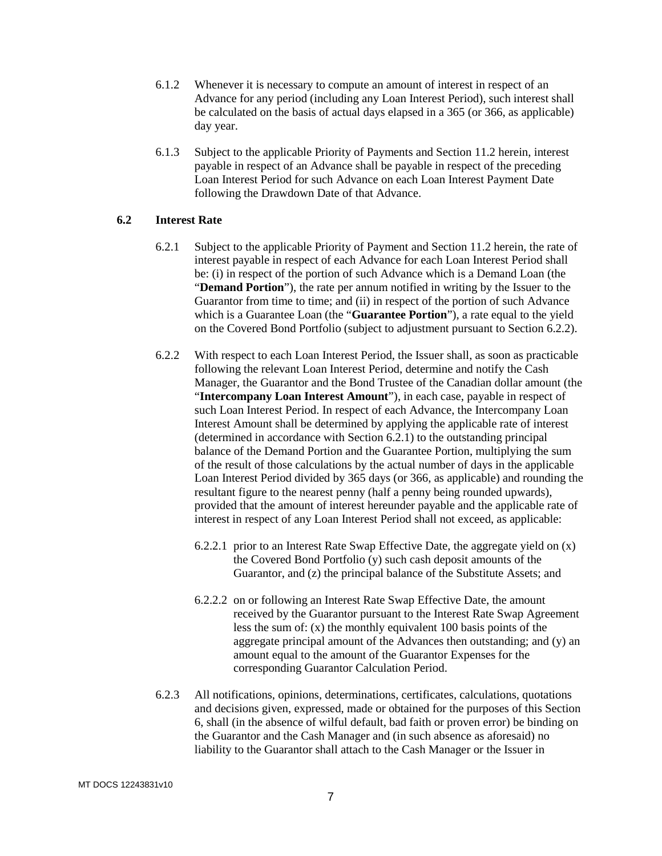- 6.1.2 Whenever it is necessary to compute an amount of interest in respect of an Advance for any period (including any Loan Interest Period), such interest shall be calculated on the basis of actual days elapsed in a 365 (or 366, as applicable) day year.
- 6.1.3 Subject to the applicable Priority of Payments and Section 11.2 herein, interest payable in respect of an Advance shall be payable in respect of the preceding Loan Interest Period for such Advance on each Loan Interest Payment Date following the Drawdown Date of that Advance.

#### **6.2 Interest Rate**

- 6.2.1 Subject to the applicable Priority of Payment and Section 11.2 herein, the rate of interest payable in respect of each Advance for each Loan Interest Period shall be: (i) in respect of the portion of such Advance which is a Demand Loan (the "**Demand Portion**"), the rate per annum notified in writing by the Issuer to the Guarantor from time to time; and (ii) in respect of the portion of such Advance which is a Guarantee Loan (the "**Guarantee Portion**"), a rate equal to the yield on the Covered Bond Portfolio (subject to adjustment pursuant to Section 6.2.2).
- 6.2.2 With respect to each Loan Interest Period, the Issuer shall, as soon as practicable following the relevant Loan Interest Period, determine and notify the Cash Manager, the Guarantor and the Bond Trustee of the Canadian dollar amount (the "**Intercompany Loan Interest Amount**"), in each case, payable in respect of such Loan Interest Period. In respect of each Advance, the Intercompany Loan Interest Amount shall be determined by applying the applicable rate of interest (determined in accordance with Section 6.2.1) to the outstanding principal balance of the Demand Portion and the Guarantee Portion, multiplying the sum of the result of those calculations by the actual number of days in the applicable Loan Interest Period divided by 365 days (or 366, as applicable) and rounding the resultant figure to the nearest penny (half a penny being rounded upwards), provided that the amount of interest hereunder payable and the applicable rate of interest in respect of any Loan Interest Period shall not exceed, as applicable:
	- 6.2.2.1 prior to an Interest Rate Swap Effective Date, the aggregate yield on (x) the Covered Bond Portfolio (y) such cash deposit amounts of the Guarantor, and (z) the principal balance of the Substitute Assets; and
	- 6.2.2.2 on or following an Interest Rate Swap Effective Date, the amount received by the Guarantor pursuant to the Interest Rate Swap Agreement less the sum of: (x) the monthly equivalent 100 basis points of the aggregate principal amount of the Advances then outstanding; and (y) an amount equal to the amount of the Guarantor Expenses for the corresponding Guarantor Calculation Period.
- 6.2.3 All notifications, opinions, determinations, certificates, calculations, quotations and decisions given, expressed, made or obtained for the purposes of this Section 6, shall (in the absence of wilful default, bad faith or proven error) be binding on the Guarantor and the Cash Manager and (in such absence as aforesaid) no liability to the Guarantor shall attach to the Cash Manager or the Issuer in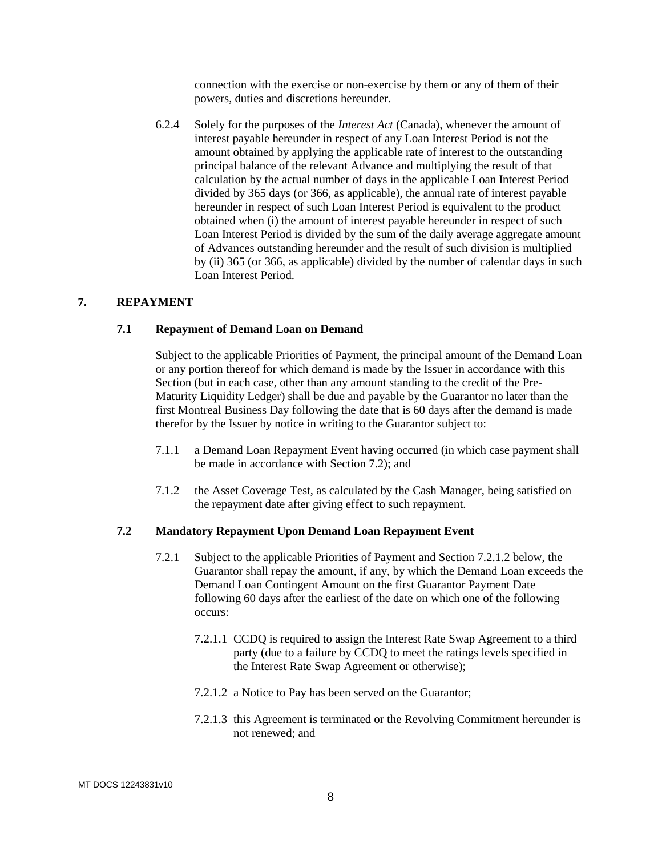connection with the exercise or non-exercise by them or any of them of their powers, duties and discretions hereunder.

6.2.4 Solely for the purposes of the *Interest Act* (Canada), whenever the amount of interest payable hereunder in respect of any Loan Interest Period is not the amount obtained by applying the applicable rate of interest to the outstanding principal balance of the relevant Advance and multiplying the result of that calculation by the actual number of days in the applicable Loan Interest Period divided by 365 days (or 366, as applicable), the annual rate of interest payable hereunder in respect of such Loan Interest Period is equivalent to the product obtained when (i) the amount of interest payable hereunder in respect of such Loan Interest Period is divided by the sum of the daily average aggregate amount of Advances outstanding hereunder and the result of such division is multiplied by (ii) 365 (or 366, as applicable) divided by the number of calendar days in such Loan Interest Period.

## **7. REPAYMENT**

#### **7.1 Repayment of Demand Loan on Demand**

Subject to the applicable Priorities of Payment, the principal amount of the Demand Loan or any portion thereof for which demand is made by the Issuer in accordance with this Section (but in each case, other than any amount standing to the credit of the Pre-Maturity Liquidity Ledger) shall be due and payable by the Guarantor no later than the first Montreal Business Day following the date that is 60 days after the demand is made therefor by the Issuer by notice in writing to the Guarantor subject to:

- 7.1.1 a Demand Loan Repayment Event having occurred (in which case payment shall be made in accordance with Section 7.2); and
- 7.1.2 the Asset Coverage Test, as calculated by the Cash Manager, being satisfied on the repayment date after giving effect to such repayment.

#### **7.2 Mandatory Repayment Upon Demand Loan Repayment Event**

- 7.2.1 Subject to the applicable Priorities of Payment and Section 7.2.1.2 below, the Guarantor shall repay the amount, if any, by which the Demand Loan exceeds the Demand Loan Contingent Amount on the first Guarantor Payment Date following 60 days after the earliest of the date on which one of the following occurs:
	- 7.2.1.1 CCDQ is required to assign the Interest Rate Swap Agreement to a third party (due to a failure by CCDQ to meet the ratings levels specified in the Interest Rate Swap Agreement or otherwise);
	- 7.2.1.2 a Notice to Pay has been served on the Guarantor;
	- 7.2.1.3 this Agreement is terminated or the Revolving Commitment hereunder is not renewed; and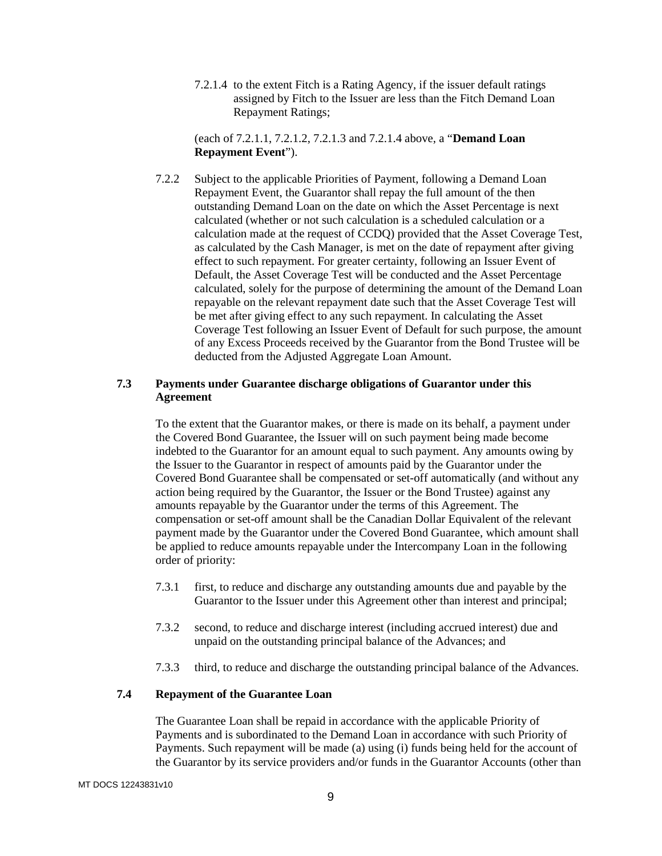7.2.1.4 to the extent Fitch is a Rating Agency, if the issuer default ratings assigned by Fitch to the Issuer are less than the Fitch Demand Loan Repayment Ratings;

(each of 7.2.1.1, 7.2.1.2, 7.2.1.3 and 7.2.1.4 above, a "**Demand Loan Repayment Event**").

7.2.2 Subject to the applicable Priorities of Payment, following a Demand Loan Repayment Event, the Guarantor shall repay the full amount of the then outstanding Demand Loan on the date on which the Asset Percentage is next calculated (whether or not such calculation is a scheduled calculation or a calculation made at the request of CCDQ) provided that the Asset Coverage Test, as calculated by the Cash Manager, is met on the date of repayment after giving effect to such repayment. For greater certainty, following an Issuer Event of Default, the Asset Coverage Test will be conducted and the Asset Percentage calculated, solely for the purpose of determining the amount of the Demand Loan repayable on the relevant repayment date such that the Asset Coverage Test will be met after giving effect to any such repayment. In calculating the Asset Coverage Test following an Issuer Event of Default for such purpose, the amount of any Excess Proceeds received by the Guarantor from the Bond Trustee will be deducted from the Adjusted Aggregate Loan Amount.

## **7.3 Payments under Guarantee discharge obligations of Guarantor under this Agreement**

To the extent that the Guarantor makes, or there is made on its behalf, a payment under the Covered Bond Guarantee, the Issuer will on such payment being made become indebted to the Guarantor for an amount equal to such payment. Any amounts owing by the Issuer to the Guarantor in respect of amounts paid by the Guarantor under the Covered Bond Guarantee shall be compensated or set-off automatically (and without any action being required by the Guarantor, the Issuer or the Bond Trustee) against any amounts repayable by the Guarantor under the terms of this Agreement. The compensation or set-off amount shall be the Canadian Dollar Equivalent of the relevant payment made by the Guarantor under the Covered Bond Guarantee, which amount shall be applied to reduce amounts repayable under the Intercompany Loan in the following order of priority:

- 7.3.1 first, to reduce and discharge any outstanding amounts due and payable by the Guarantor to the Issuer under this Agreement other than interest and principal;
- 7.3.2 second, to reduce and discharge interest (including accrued interest) due and unpaid on the outstanding principal balance of the Advances; and
- 7.3.3 third, to reduce and discharge the outstanding principal balance of the Advances.

## **7.4 Repayment of the Guarantee Loan**

The Guarantee Loan shall be repaid in accordance with the applicable Priority of Payments and is subordinated to the Demand Loan in accordance with such Priority of Payments. Such repayment will be made (a) using (i) funds being held for the account of the Guarantor by its service providers and/or funds in the Guarantor Accounts (other than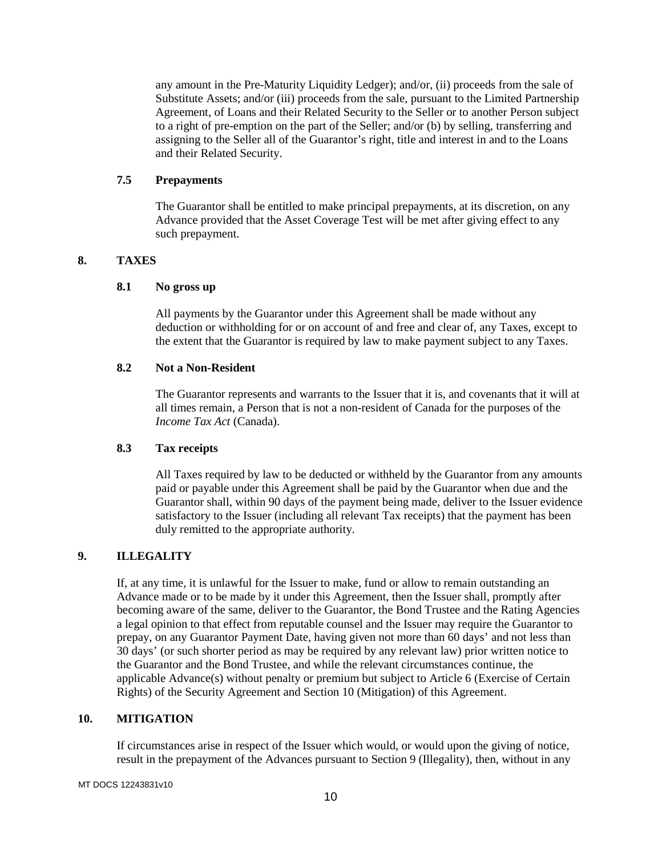any amount in the Pre-Maturity Liquidity Ledger); and/or, (ii) proceeds from the sale of Substitute Assets; and/or (iii) proceeds from the sale, pursuant to the Limited Partnership Agreement, of Loans and their Related Security to the Seller or to another Person subject to a right of pre-emption on the part of the Seller; and/or (b) by selling, transferring and assigning to the Seller all of the Guarantor's right, title and interest in and to the Loans and their Related Security.

### **7.5 Prepayments**

The Guarantor shall be entitled to make principal prepayments, at its discretion, on any Advance provided that the Asset Coverage Test will be met after giving effect to any such prepayment.

## **8. TAXES**

### **8.1 No gross up**

All payments by the Guarantor under this Agreement shall be made without any deduction or withholding for or on account of and free and clear of, any Taxes, except to the extent that the Guarantor is required by law to make payment subject to any Taxes.

## **8.2 Not a Non-Resident**

The Guarantor represents and warrants to the Issuer that it is, and covenants that it will at all times remain, a Person that is not a non-resident of Canada for the purposes of the *Income Tax Act* (Canada).

## **8.3 Tax receipts**

All Taxes required by law to be deducted or withheld by the Guarantor from any amounts paid or payable under this Agreement shall be paid by the Guarantor when due and the Guarantor shall, within 90 days of the payment being made, deliver to the Issuer evidence satisfactory to the Issuer (including all relevant Tax receipts) that the payment has been duly remitted to the appropriate authority.

## **9. ILLEGALITY**

If, at any time, it is unlawful for the Issuer to make, fund or allow to remain outstanding an Advance made or to be made by it under this Agreement, then the Issuer shall, promptly after becoming aware of the same, deliver to the Guarantor, the Bond Trustee and the Rating Agencies a legal opinion to that effect from reputable counsel and the Issuer may require the Guarantor to prepay, on any Guarantor Payment Date, having given not more than 60 days' and not less than 30 days' (or such shorter period as may be required by any relevant law) prior written notice to the Guarantor and the Bond Trustee, and while the relevant circumstances continue, the applicable Advance(s) without penalty or premium but subject to Article 6 (Exercise of Certain Rights) of the Security Agreement and Section 10 (Mitigation) of this Agreement.

### **10. MITIGATION**

If circumstances arise in respect of the Issuer which would, or would upon the giving of notice, result in the prepayment of the Advances pursuant to Section 9 (Illegality), then, without in any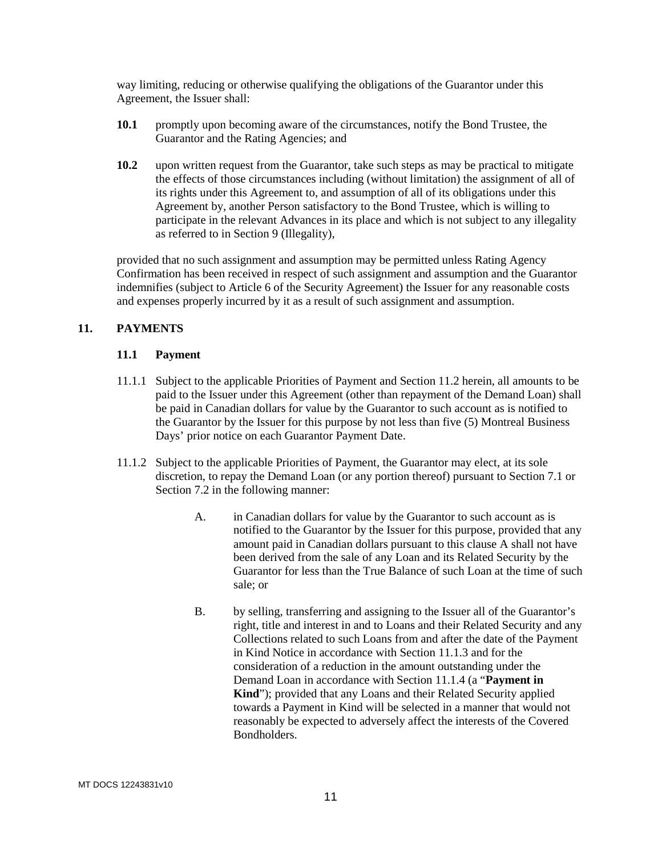way limiting, reducing or otherwise qualifying the obligations of the Guarantor under this Agreement, the Issuer shall:

- **10.1** promptly upon becoming aware of the circumstances, notify the Bond Trustee, the Guarantor and the Rating Agencies; and
- **10.2** upon written request from the Guarantor, take such steps as may be practical to mitigate the effects of those circumstances including (without limitation) the assignment of all of its rights under this Agreement to, and assumption of all of its obligations under this Agreement by, another Person satisfactory to the Bond Trustee, which is willing to participate in the relevant Advances in its place and which is not subject to any illegality as referred to in Section 9 (Illegality),

provided that no such assignment and assumption may be permitted unless Rating Agency Confirmation has been received in respect of such assignment and assumption and the Guarantor indemnifies (subject to Article 6 of the Security Agreement) the Issuer for any reasonable costs and expenses properly incurred by it as a result of such assignment and assumption.

### **11. PAYMENTS**

### **11.1 Payment**

- 11.1.1 Subject to the applicable Priorities of Payment and Section 11.2 herein, all amounts to be paid to the Issuer under this Agreement (other than repayment of the Demand Loan) shall be paid in Canadian dollars for value by the Guarantor to such account as is notified to the Guarantor by the Issuer for this purpose by not less than five (5) Montreal Business Days' prior notice on each Guarantor Payment Date.
- 11.1.2 Subject to the applicable Priorities of Payment, the Guarantor may elect, at its sole discretion, to repay the Demand Loan (or any portion thereof) pursuant to Section 7.1 or Section 7.2 in the following manner:
	- A. in Canadian dollars for value by the Guarantor to such account as is notified to the Guarantor by the Issuer for this purpose, provided that any amount paid in Canadian dollars pursuant to this clause A shall not have been derived from the sale of any Loan and its Related Security by the Guarantor for less than the True Balance of such Loan at the time of such sale; or
	- B. by selling, transferring and assigning to the Issuer all of the Guarantor's right, title and interest in and to Loans and their Related Security and any Collections related to such Loans from and after the date of the Payment in Kind Notice in accordance with Section 11.1.3 and for the consideration of a reduction in the amount outstanding under the Demand Loan in accordance with Section 11.1.4 (a "**Payment in Kind**"); provided that any Loans and their Related Security applied towards a Payment in Kind will be selected in a manner that would not reasonably be expected to adversely affect the interests of the Covered Bondholders.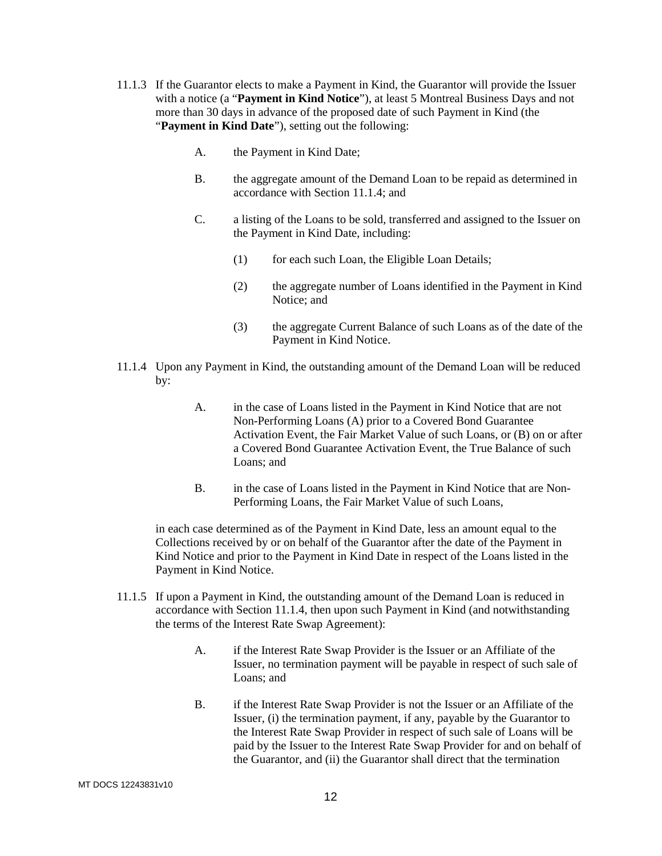- 11.1.3 If the Guarantor elects to make a Payment in Kind, the Guarantor will provide the Issuer with a notice (a "**Payment in Kind Notice**"), at least 5 Montreal Business Days and not more than 30 days in advance of the proposed date of such Payment in Kind (the "**Payment in Kind Date**"), setting out the following:
	- A. the Payment in Kind Date;
	- B. the aggregate amount of the Demand Loan to be repaid as determined in accordance with Section 11.1.4; and
	- C. a listing of the Loans to be sold, transferred and assigned to the Issuer on the Payment in Kind Date, including:
		- (1) for each such Loan, the Eligible Loan Details;
		- (2) the aggregate number of Loans identified in the Payment in Kind Notice; and
		- (3) the aggregate Current Balance of such Loans as of the date of the Payment in Kind Notice.
- 11.1.4 Upon any Payment in Kind, the outstanding amount of the Demand Loan will be reduced by:
	- A. in the case of Loans listed in the Payment in Kind Notice that are not Non-Performing Loans (A) prior to a Covered Bond Guarantee Activation Event, the Fair Market Value of such Loans, or (B) on or after a Covered Bond Guarantee Activation Event, the True Balance of such Loans; and
	- B. in the case of Loans listed in the Payment in Kind Notice that are Non-Performing Loans, the Fair Market Value of such Loans,

in each case determined as of the Payment in Kind Date, less an amount equal to the Collections received by or on behalf of the Guarantor after the date of the Payment in Kind Notice and prior to the Payment in Kind Date in respect of the Loans listed in the Payment in Kind Notice.

- 11.1.5 If upon a Payment in Kind, the outstanding amount of the Demand Loan is reduced in accordance with Section 11.1.4, then upon such Payment in Kind (and notwithstanding the terms of the Interest Rate Swap Agreement):
	- A. if the Interest Rate Swap Provider is the Issuer or an Affiliate of the Issuer, no termination payment will be payable in respect of such sale of Loans; and
	- B. if the Interest Rate Swap Provider is not the Issuer or an Affiliate of the Issuer, (i) the termination payment, if any, payable by the Guarantor to the Interest Rate Swap Provider in respect of such sale of Loans will be paid by the Issuer to the Interest Rate Swap Provider for and on behalf of the Guarantor, and (ii) the Guarantor shall direct that the termination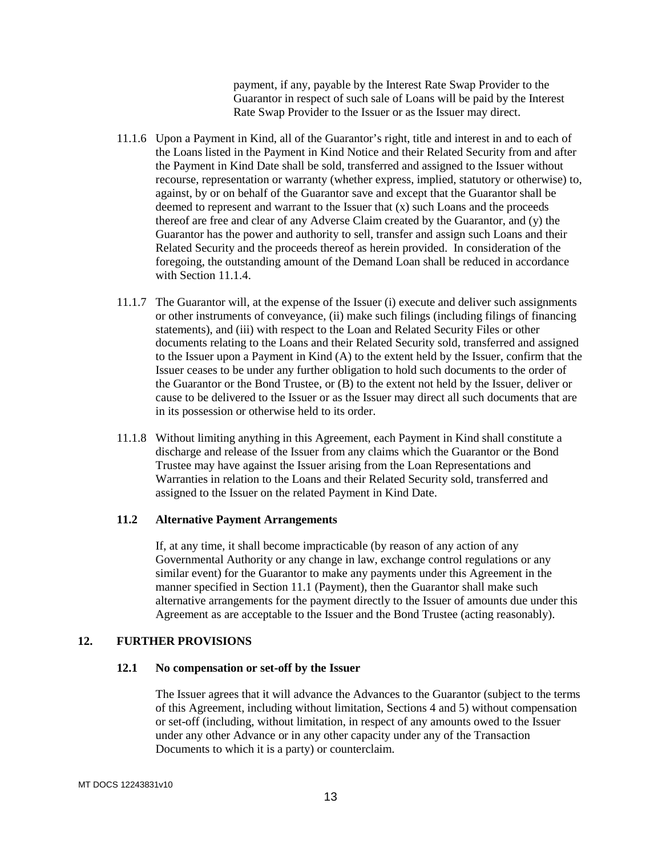payment, if any, payable by the Interest Rate Swap Provider to the Guarantor in respect of such sale of Loans will be paid by the Interest Rate Swap Provider to the Issuer or as the Issuer may direct.

- 11.1.6 Upon a Payment in Kind, all of the Guarantor's right, title and interest in and to each of the Loans listed in the Payment in Kind Notice and their Related Security from and after the Payment in Kind Date shall be sold, transferred and assigned to the Issuer without recourse, representation or warranty (whether express, implied, statutory or otherwise) to, against, by or on behalf of the Guarantor save and except that the Guarantor shall be deemed to represent and warrant to the Issuer that (x) such Loans and the proceeds thereof are free and clear of any Adverse Claim created by the Guarantor, and (y) the Guarantor has the power and authority to sell, transfer and assign such Loans and their Related Security and the proceeds thereof as herein provided. In consideration of the foregoing, the outstanding amount of the Demand Loan shall be reduced in accordance with Section 11.1.4.
- 11.1.7 The Guarantor will, at the expense of the Issuer (i) execute and deliver such assignments or other instruments of conveyance, (ii) make such filings (including filings of financing statements), and (iii) with respect to the Loan and Related Security Files or other documents relating to the Loans and their Related Security sold, transferred and assigned to the Issuer upon a Payment in Kind (A) to the extent held by the Issuer, confirm that the Issuer ceases to be under any further obligation to hold such documents to the order of the Guarantor or the Bond Trustee, or (B) to the extent not held by the Issuer, deliver or cause to be delivered to the Issuer or as the Issuer may direct all such documents that are in its possession or otherwise held to its order.
- 11.1.8 Without limiting anything in this Agreement, each Payment in Kind shall constitute a discharge and release of the Issuer from any claims which the Guarantor or the Bond Trustee may have against the Issuer arising from the Loan Representations and Warranties in relation to the Loans and their Related Security sold, transferred and assigned to the Issuer on the related Payment in Kind Date.

#### **11.2 Alternative Payment Arrangements**

If, at any time, it shall become impracticable (by reason of any action of any Governmental Authority or any change in law, exchange control regulations or any similar event) for the Guarantor to make any payments under this Agreement in the manner specified in Section 11.1 (Payment), then the Guarantor shall make such alternative arrangements for the payment directly to the Issuer of amounts due under this Agreement as are acceptable to the Issuer and the Bond Trustee (acting reasonably).

#### **12. FURTHER PROVISIONS**

#### **12.1 No compensation or set-off by the Issuer**

The Issuer agrees that it will advance the Advances to the Guarantor (subject to the terms of this Agreement, including without limitation, Sections 4 and 5) without compensation or set-off (including, without limitation, in respect of any amounts owed to the Issuer under any other Advance or in any other capacity under any of the Transaction Documents to which it is a party) or counterclaim.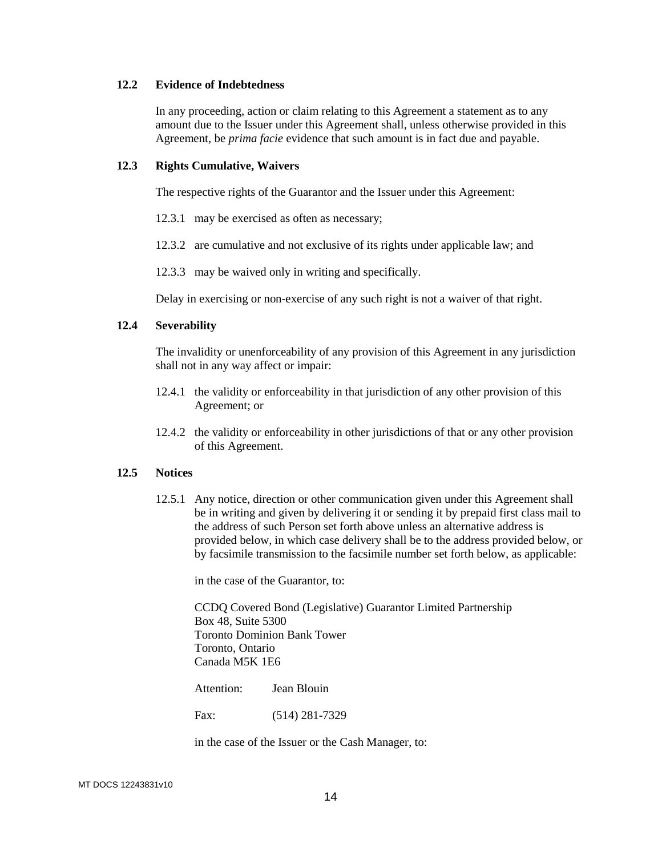## **12.2 Evidence of Indebtedness**

In any proceeding, action or claim relating to this Agreement a statement as to any amount due to the Issuer under this Agreement shall, unless otherwise provided in this Agreement, be *prima facie* evidence that such amount is in fact due and payable.

#### **12.3 Rights Cumulative, Waivers**

The respective rights of the Guarantor and the Issuer under this Agreement:

- 12.3.1 may be exercised as often as necessary;
- 12.3.2 are cumulative and not exclusive of its rights under applicable law; and
- 12.3.3 may be waived only in writing and specifically.

Delay in exercising or non-exercise of any such right is not a waiver of that right.

#### **12.4 Severability**

The invalidity or unenforceability of any provision of this Agreement in any jurisdiction shall not in any way affect or impair:

- 12.4.1 the validity or enforceability in that jurisdiction of any other provision of this Agreement; or
- 12.4.2 the validity or enforceability in other jurisdictions of that or any other provision of this Agreement.

### **12.5 Notices**

12.5.1 Any notice, direction or other communication given under this Agreement shall be in writing and given by delivering it or sending it by prepaid first class mail to the address of such Person set forth above unless an alternative address is provided below, in which case delivery shall be to the address provided below, or by facsimile transmission to the facsimile number set forth below, as applicable:

in the case of the Guarantor, to:

CCDQ Covered Bond (Legislative) Guarantor Limited Partnership Box 48, Suite 5300 Toronto Dominion Bank Tower Toronto, Ontario Canada M5K 1E6

Attention: Jean Blouin

Fax: (514) 281-7329

in the case of the Issuer or the Cash Manager, to: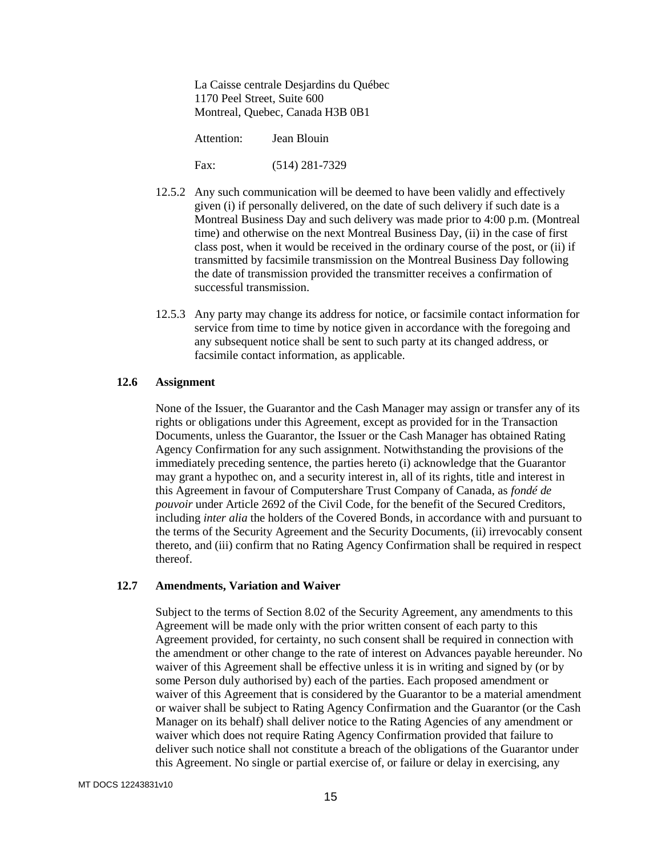La Caisse centrale Desjardins du Québec 1170 Peel Street, Suite 600 Montreal, Quebec, Canada H3B 0B1

Attention: Jean Blouin

Fax: (514) 281-7329

- 12.5.2 Any such communication will be deemed to have been validly and effectively given (i) if personally delivered, on the date of such delivery if such date is a Montreal Business Day and such delivery was made prior to 4:00 p.m. (Montreal time) and otherwise on the next Montreal Business Day, (ii) in the case of first class post, when it would be received in the ordinary course of the post, or (ii) if transmitted by facsimile transmission on the Montreal Business Day following the date of transmission provided the transmitter receives a confirmation of successful transmission.
- 12.5.3 Any party may change its address for notice, or facsimile contact information for service from time to time by notice given in accordance with the foregoing and any subsequent notice shall be sent to such party at its changed address, or facsimile contact information, as applicable.

#### **12.6 Assignment**

None of the Issuer, the Guarantor and the Cash Manager may assign or transfer any of its rights or obligations under this Agreement, except as provided for in the Transaction Documents, unless the Guarantor, the Issuer or the Cash Manager has obtained Rating Agency Confirmation for any such assignment. Notwithstanding the provisions of the immediately preceding sentence, the parties hereto (i) acknowledge that the Guarantor may grant a hypothec on, and a security interest in, all of its rights, title and interest in this Agreement in favour of Computershare Trust Company of Canada, as *fondé de pouvoir* under Article 2692 of the Civil Code, for the benefit of the Secured Creditors, including *inter alia* the holders of the Covered Bonds, in accordance with and pursuant to the terms of the Security Agreement and the Security Documents, (ii) irrevocably consent thereto, and (iii) confirm that no Rating Agency Confirmation shall be required in respect thereof.

#### **12.7 Amendments, Variation and Waiver**

Subject to the terms of Section 8.02 of the Security Agreement, any amendments to this Agreement will be made only with the prior written consent of each party to this Agreement provided, for certainty, no such consent shall be required in connection with the amendment or other change to the rate of interest on Advances payable hereunder. No waiver of this Agreement shall be effective unless it is in writing and signed by (or by some Person duly authorised by) each of the parties. Each proposed amendment or waiver of this Agreement that is considered by the Guarantor to be a material amendment or waiver shall be subject to Rating Agency Confirmation and the Guarantor (or the Cash Manager on its behalf) shall deliver notice to the Rating Agencies of any amendment or waiver which does not require Rating Agency Confirmation provided that failure to deliver such notice shall not constitute a breach of the obligations of the Guarantor under this Agreement. No single or partial exercise of, or failure or delay in exercising, any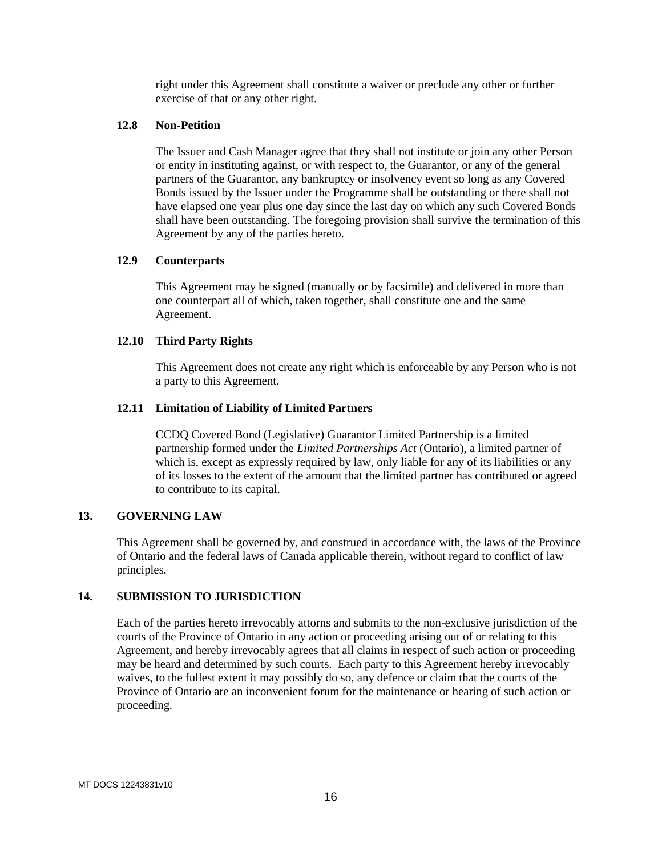right under this Agreement shall constitute a waiver or preclude any other or further exercise of that or any other right.

## **12.8 Non-Petition**

The Issuer and Cash Manager agree that they shall not institute or join any other Person or entity in instituting against, or with respect to, the Guarantor, or any of the general partners of the Guarantor, any bankruptcy or insolvency event so long as any Covered Bonds issued by the Issuer under the Programme shall be outstanding or there shall not have elapsed one year plus one day since the last day on which any such Covered Bonds shall have been outstanding. The foregoing provision shall survive the termination of this Agreement by any of the parties hereto.

#### **12.9 Counterparts**

This Agreement may be signed (manually or by facsimile) and delivered in more than one counterpart all of which, taken together, shall constitute one and the same Agreement.

#### **12.10 Third Party Rights**

This Agreement does not create any right which is enforceable by any Person who is not a party to this Agreement.

### **12.11 Limitation of Liability of Limited Partners**

CCDQ Covered Bond (Legislative) Guarantor Limited Partnership is a limited partnership formed under the *Limited Partnerships Act* (Ontario), a limited partner of which is, except as expressly required by law, only liable for any of its liabilities or any of its losses to the extent of the amount that the limited partner has contributed or agreed to contribute to its capital.

### **13. GOVERNING LAW**

This Agreement shall be governed by, and construed in accordance with, the laws of the Province of Ontario and the federal laws of Canada applicable therein, without regard to conflict of law principles.

### **14. SUBMISSION TO JURISDICTION**

Each of the parties hereto irrevocably attorns and submits to the non-exclusive jurisdiction of the courts of the Province of Ontario in any action or proceeding arising out of or relating to this Agreement, and hereby irrevocably agrees that all claims in respect of such action or proceeding may be heard and determined by such courts. Each party to this Agreement hereby irrevocably waives, to the fullest extent it may possibly do so, any defence or claim that the courts of the Province of Ontario are an inconvenient forum for the maintenance or hearing of such action or proceeding.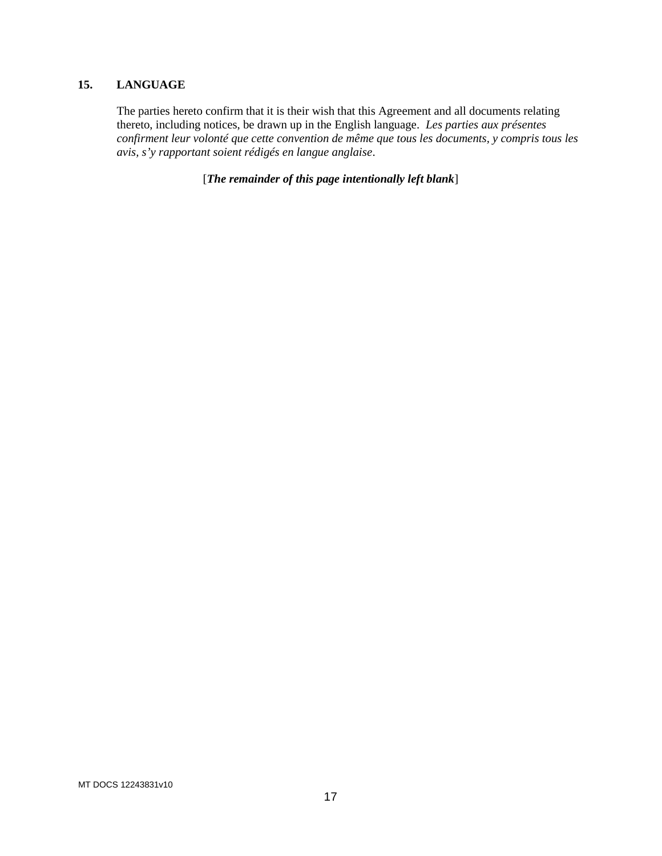## **15. LANGUAGE**

The parties hereto confirm that it is their wish that this Agreement and all documents relating thereto, including notices, be drawn up in the English language. *Les parties aux présentes confirment leur volonté que cette convention de même que tous les documents, y compris tous les avis, s'y rapportant soient rédigés en langue anglaise*.

[*The remainder of this page intentionally left blank*]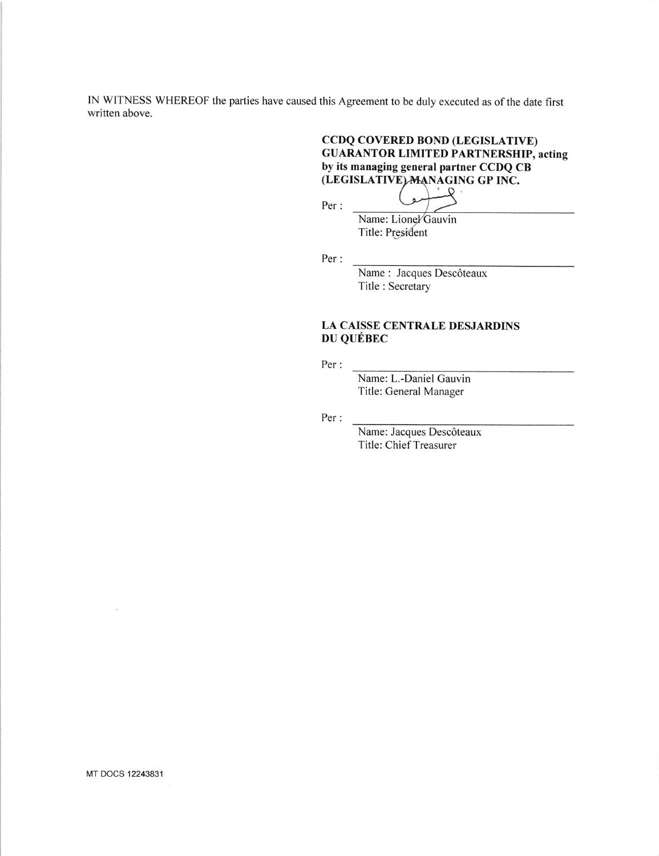IN WITNESS WHEREOF the parties have caused this Agreement to be duly executed as of the date first written above.

## CCDQ COVERED BOND (LEGISLATTVE) GUARANTOR LIMITED PARTNERSHIP, acting by its managing general partner CCDQ CB (LEGISLATIVE) MANAGING GP INC.

Per :

Name: Lionel Gauvin Title: President

 $\lambda$ 

Per :

Name : Jacques Descôteaux Title : Secretary

## LA CAISSE CENTRALE DESJARDINS DU QUÉBEC

Per :

Name: L.-Daniel Gauvin Title: General Manager

Per :

Name: Jacques Descôteaux Title:Chief Treasurer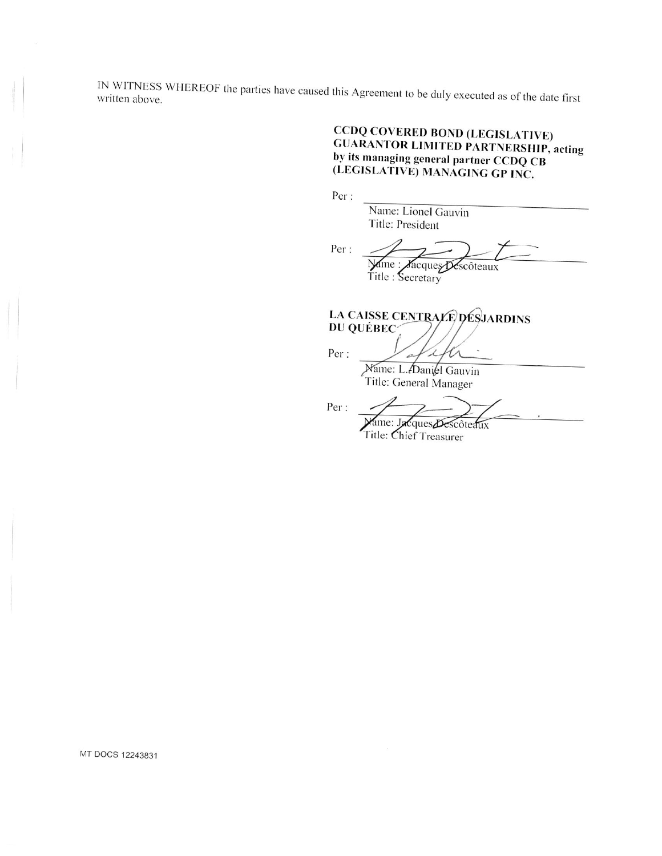IN WITNESS WHEREOF the parties have caused this Agreement to be duly executed as of the date first

# **CCDQ COVERED BOND (LEGISLATIVE) GUARANTOR LIMITED PARTNERSHIP, acting** by its managing general partner CCDQ CB (LEGISLATIVE) MANAGING GP INC.

Per:

Name: Lionel Gauvin Title: President

Per : Name : Sacques Descôteaux Title : Secretary

LA CAISSE CENTRALE DESJARDINS DU QUÉBEC

> $\lambda$ UΛ

Per:

Name: L. Daniel Gauvin Title: General Manager

 $\mathbb{Z}$ 

Per:

ame: Jacques Descôteaux

Title: Chief Treasurer

MT DOCS 12243831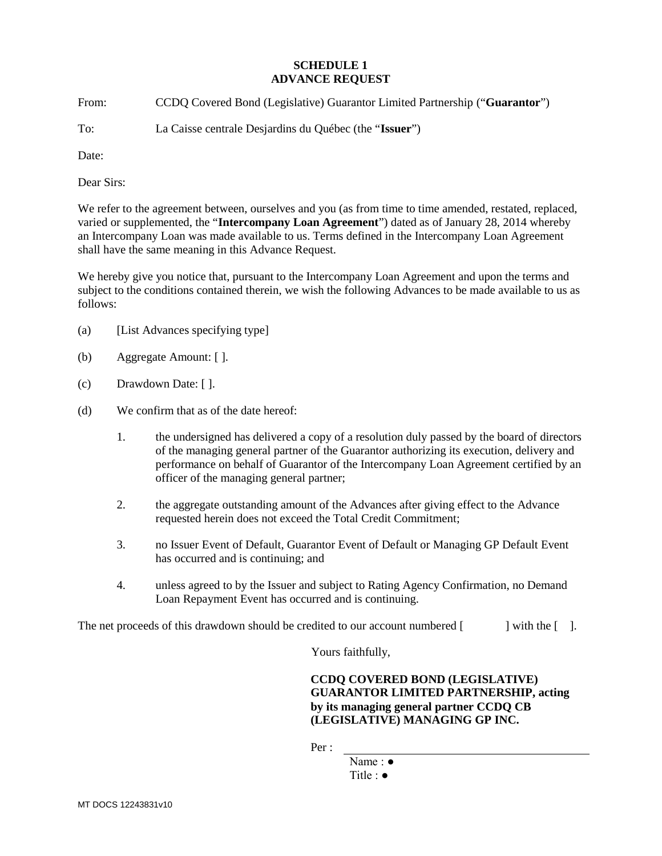#### **SCHEDULE 1 ADVANCE REQUEST**

From: CCDQ Covered Bond (Legislative) Guarantor Limited Partnership ("**Guarantor**")

To: La Caisse centrale Desjardins du Québec (the "**Issuer**")

Date:

Dear Sirs:

We refer to the agreement between, ourselves and you (as from time to time amended, restated, replaced, varied or supplemented, the "**Intercompany Loan Agreement**") dated as of January 28, 2014 whereby an Intercompany Loan was made available to us. Terms defined in the Intercompany Loan Agreement shall have the same meaning in this Advance Request.

We hereby give you notice that, pursuant to the Intercompany Loan Agreement and upon the terms and subject to the conditions contained therein, we wish the following Advances to be made available to us as follows:

- (a) [List Advances specifying type]
- (b) Aggregate Amount: [ ].
- (c) Drawdown Date: [ ].
- (d) We confirm that as of the date hereof:
	- 1. the undersigned has delivered a copy of a resolution duly passed by the board of directors of the managing general partner of the Guarantor authorizing its execution, delivery and performance on behalf of Guarantor of the Intercompany Loan Agreement certified by an officer of the managing general partner;
	- 2. the aggregate outstanding amount of the Advances after giving effect to the Advance requested herein does not exceed the Total Credit Commitment;
	- 3. no Issuer Event of Default, Guarantor Event of Default or Managing GP Default Event has occurred and is continuing; and
	- 4. unless agreed to by the Issuer and subject to Rating Agency Confirmation, no Demand Loan Repayment Event has occurred and is continuing.

The net proceeds of this drawdown should be credited to our account numbered  $\lceil \cdot \cdot \cdot \rceil$  with the  $\lceil \cdot \rceil$ .

Yours faithfully,

**CCDQ COVERED BOND (LEGISLATIVE) GUARANTOR LIMITED PARTNERSHIP, acting by its managing general partner CCDQ CB (LEGISLATIVE) MANAGING GP INC.**

Per :

Name : ● Title : ●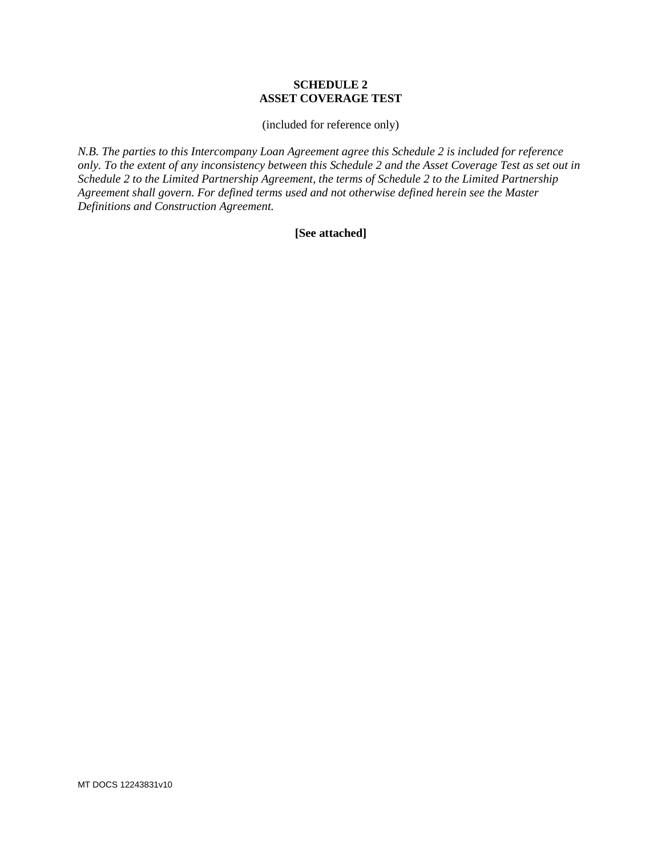#### **SCHEDULE 2 ASSET COVERAGE TEST**

(included for reference only)

*N.B. The parties to this Intercompany Loan Agreement agree this Schedule 2 is included for reference only. To the extent of any inconsistency between this Schedule 2 and the Asset Coverage Test as set out in Schedule 2 to the Limited Partnership Agreement, the terms of Schedule 2 to the Limited Partnership Agreement shall govern. For defined terms used and not otherwise defined herein see the Master Definitions and Construction Agreement.*

### **[See attached]**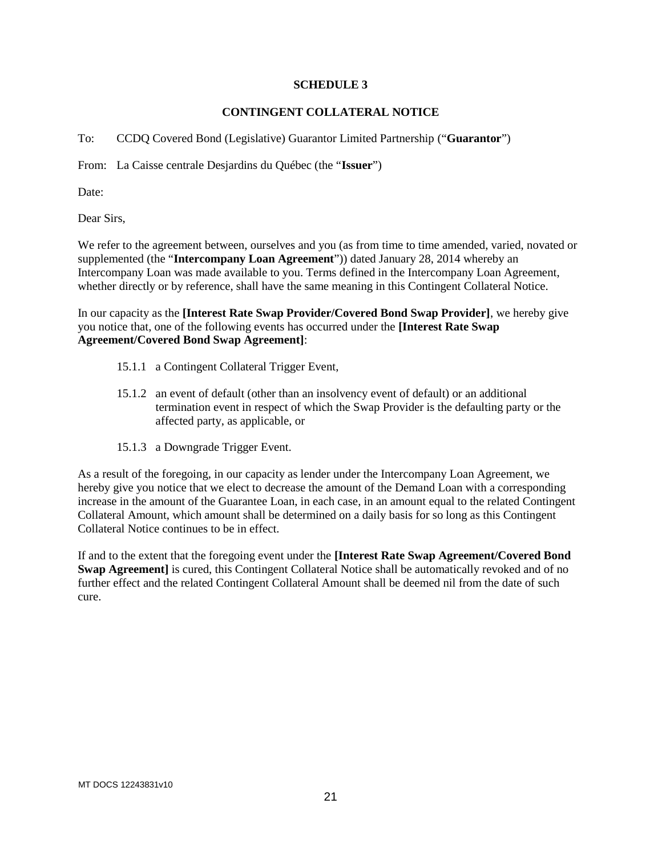#### **SCHEDULE 3**

#### **CONTINGENT COLLATERAL NOTICE**

To: CCDQ Covered Bond (Legislative) Guarantor Limited Partnership ("**Guarantor**")

From: La Caisse centrale Desjardins du Québec (the "**Issuer**")

Date:

Dear Sirs,

We refer to the agreement between, ourselves and you (as from time to time amended, varied, novated or supplemented (the "**Intercompany Loan Agreement**")) dated January 28, 2014 whereby an Intercompany Loan was made available to you. Terms defined in the Intercompany Loan Agreement, whether directly or by reference, shall have the same meaning in this Contingent Collateral Notice.

In our capacity as the **[Interest Rate Swap Provider/Covered Bond Swap Provider]**, we hereby give you notice that, one of the following events has occurred under the **[Interest Rate Swap Agreement/Covered Bond Swap Agreement]**:

- 15.1.1 a Contingent Collateral Trigger Event,
- 15.1.2 an event of default (other than an insolvency event of default) or an additional termination event in respect of which the Swap Provider is the defaulting party or the affected party, as applicable, or
- 15.1.3 a Downgrade Trigger Event.

As a result of the foregoing, in our capacity as lender under the Intercompany Loan Agreement, we hereby give you notice that we elect to decrease the amount of the Demand Loan with a corresponding increase in the amount of the Guarantee Loan, in each case, in an amount equal to the related Contingent Collateral Amount, which amount shall be determined on a daily basis for so long as this Contingent Collateral Notice continues to be in effect.

If and to the extent that the foregoing event under the **[Interest Rate Swap Agreement/Covered Bond Swap Agreement**] is cured, this Contingent Collateral Notice shall be automatically revoked and of no further effect and the related Contingent Collateral Amount shall be deemed nil from the date of such cure.